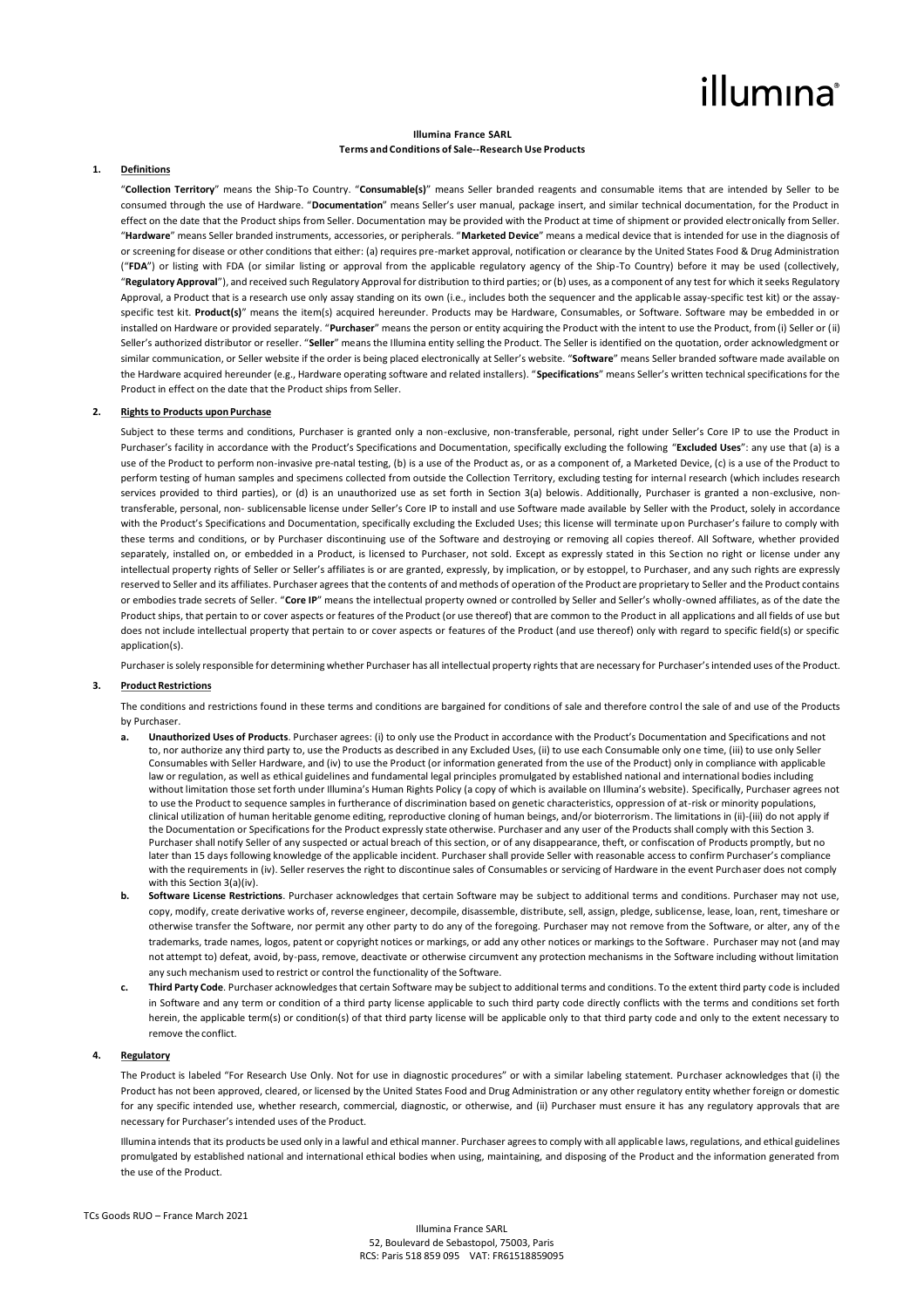# illumına

#### **Illumina France SARL Terms and Conditions of Sale--Research Use Products**

#### **1. Definitions**

"**Collection Territory**" means the Ship-To Country. "**Consumable(s)**" means Seller branded reagents and consumable items that are intended by Seller to be consumed through the use of Hardware. "**Documentation**" means Seller's user manual, package insert, and similar technical documentation, for the Product in effect on the date that the Product ships from Seller. Documentation may be provided with the Product at time of shipment or provided electronically from Seller. "**Hardware**" means Seller branded instruments, accessories, or peripherals. "**Marketed Device**" means a medical device that is intended for use in the diagnosis of or screening for disease or other conditions that either: (a) requires pre-market approval, notification or clearance by the United States Food & Drug Administration ("**FDA**") or listing with FDA (or similar listing or approval from the applicable regulatory agency of the Ship-To Country) before it may be used (collectively, "**Regulatory Approval**"), and received such Regulatory Approval for distribution to third parties; or (b) uses, as a component of any test for which it seeks Regulatory Approval, a Product that is a research use only assay standing on its own (i.e., includes both the sequencer and the applicable assay-specific test kit) or the assayspecific test kit. **Product(s)**" means the item(s) acquired hereunder. Products may be Hardware, Consumables, or Software. Software may be embedded in or installed on Hardware or provided separately. "**Purchaser**" means the person or entity acquiring the Product with the intent to use the Product, from (i) Seller or (ii) Seller's authorized distributor or reseller. "**Seller**" means the Illumina entity selling the Product. The Seller is identified on the quotation, order acknowledgment or similar communication, or Seller website if the order is being placed electronically at Seller's website. "**Software**" means Seller branded software made available on the Hardware acquired hereunder (e.g., Hardware operating software and related installers). "**Specifications**" means Seller's written technical specifications for the Product in effect on the date that the Product ships from Seller.

#### **2. Rights to Products upon Purchase**

Subject to these terms and conditions, Purchaser is granted only a non-exclusive, non-transferable, personal, right under Seller's Core IP to use the Product in Purchaser's facility in accordance with the Product's Specifications and Documentation, specifically excluding the following "**Excluded Uses**": any use that (a) is a use of the Product to perform non-invasive pre-natal testing, (b) is a use of the Product as, or as a component of, a Marketed Device, (c) is a use of the Product to perform testing of human samples and specimens collected from outside the Collection Territory, excluding testing for internal research (which includes research services provided to third parties), or (d) is an unauthorized use as set forth in Section 3(a) belowis. Additionally, Purchaser is granted a non-exclusive, nontransferable, personal, non- sublicensable license under Seller's Core IP to install and use Software made available by Seller with the Product, solely in accordance with the Product's Specifications and Documentation, specifically excluding the Excluded Uses; this license will terminate upon Purchaser's failure to comply with these terms and conditions, or by Purchaser discontinuing use of the Software and destroying or removing all copies thereof. All Software, whether provided separately, installed on, or embedded in a Product, is licensed to Purchaser, not sold. Except as expressly stated in this Section no right or license under any intellectual property rights of Seller or Seller's affiliates is or are granted, expressly, by implication, or by estoppel, to Purchaser, and any such rights are expressly reserved to Seller and its affiliates. Purchaser agrees that the contents of and methods of operation of the Product are proprietary to Seller and the Product contains or embodies trade secrets of Seller. "**Core IP**" means the intellectual property owned or controlled by Seller and Seller's wholly-owned affiliates, as of the date the Product ships, that pertain to or cover aspects or features of the Product (or use thereof) that are common to the Product in all applications and all fields of use but does not include intellectual property that pertain to or cover aspects or features of the Product (and use thereof) only with regard to specific field(s) or specific application(s).

Purchaser is solely responsible for determining whether Purchaser has all intellectual property rights that are necessary for Purchaser's intended uses of the Product.

#### **3. Product Restrictions**

The conditions and restrictions found in these terms and conditions are bargained for conditions of sale and therefore control the sale of and use of the Products by Purchaser.

- **a. Unauthorized Uses of Products**. Purchaser agrees: (i) to only use the Product in accordance with the Product's Documentation and Specifications and not to, nor authorize any third party to, use the Products as described in any Excluded Uses, (ii) to use each Consumable only one time, (iii) to use only Seller Consumables with Seller Hardware, and (iv) to use the Product (or information generated from the use of the Product) only in compliance with applicable law or regulation, as well as ethical guidelines and fundamental legal principles promulgated by established national and international bodies including without limitation those set forth under Illumina's Human Rights Policy (a copy of which is available on Illumina's website). Specifically, Purchaser agrees not to use the Product to sequence samples in furtherance of discrimination based on genetic characteristics, oppression of at-risk or minority populations, clinical utilization of human heritable genome editing, reproductive cloning of human beings, and/or bioterrorism. The limitations in (ii)-(iii) do not apply if the Documentation or Specifications for the Product expressly state otherwise. Purchaser and any user of the Products shall comply with this Section 3. Purchaser shall notify Seller of any suspected or actual breach of this section, or of any disappearance, theft, or confiscation of Products promptly, but no later than 15 days following knowledge of the applicable incident. Purchaser shall provide Seller with reasonable access to confirm Purchaser's compliance with the requirements in (iv). Seller reserves the right to discontinue sales of Consumables or servicing of Hardware in the event Purchaser does not comply with this Section 3(a)(iv).
- **b. Software License Restrictions**. Purchaser acknowledges that certain Software may be subject to additional terms and conditions. Purchaser may not use, copy, modify, create derivative works of, reverse engineer, decompile, disassemble, distribute, sell, assign, pledge, sublicense, lease, loan, rent, timeshare or otherwise transfer the Software, nor permit any other party to do any of the foregoing. Purchaser may not remove from the Software, or alter, any of the trademarks, trade names, logos, patent or copyright notices or markings, or add any other notices or markings to the Software. Purchaser may not (and may not attempt to) defeat, avoid, by-pass, remove, deactivate or otherwise circumvent any protection mechanisms in the Software including without limitation any such mechanism used to restrict or control the functionality of the Software.
- **c. Third Party Code**. Purchaser acknowledges that certain Software may be subject to additional terms and conditions. To the extent third party code is included in Software and any term or condition of a third party license applicable to such third party code directly conflicts with the terms and conditions set forth herein, the applicable term(s) or condition(s) of that third party license will be applicable only to that third party code and only to the extent necessary to remove the conflict.

### **4. Regulatory**

The Product is labeled "For Research Use Only. Not for use in diagnostic procedures" or with a similar labeling statement. Purchaser acknowledges that (i) the Product has not been approved, cleared, or licensed by the United States Food and Drug Administration or any other regulatory entity whether foreign or domestic for any specific intended use, whether research, commercial, diagnostic, or otherwise, and (ii) Purchaser must ensure it has any regulatory approvals that are necessary for Purchaser's intended uses of the Product.

Illumina intends that its products be used only in a lawful and ethical manner. Purchaser agrees to comply with all applicable laws, regulations, and ethical guidelines promulgated by established national and international ethical bodies when using, maintaining, and disposing of the Product and the information generated from the use of the Product.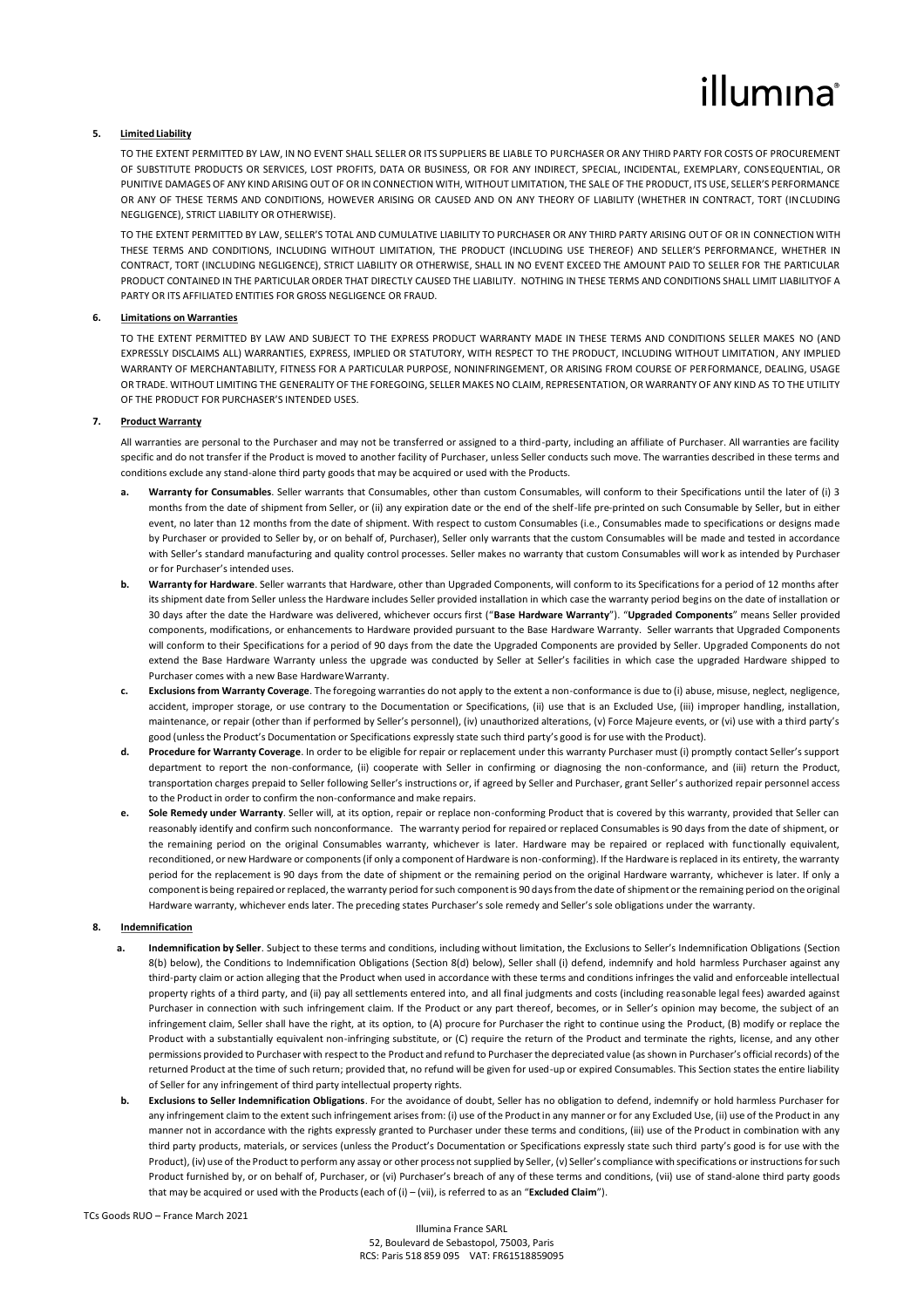# illumına

# **5. Limited Liability**

TO THE EXTENT PERMITTED BY LAW, IN NO EVENT SHALL SELLER OR ITS SUPPLIERS BE LIABLE TO PURCHASER OR ANY THIRD PARTY FOR COSTS OF PROCUREMENT OF SUBSTITUTE PRODUCTS OR SERVICES, LOST PROFITS, DATA OR BUSINESS, OR FOR ANY INDIRECT, SPECIAL, INCIDENTAL, EXEMPLARY, CONSEQUENTIAL, OR PUNITIVE DAMAGES OF ANY KIND ARISING OUT OF OR IN CONNECTION WITH, WITHOUT LIMITATION. THE SALE OF THE PRODUCT, ITS USE, SELLER'S PERFORMANCE OR ANY OF THESE TERMS AND CONDITIONS, HOWEVER ARISING OR CAUSED AND ON ANY THEORY OF LIABILITY (WHETHER IN CONTRACT, TORT (INCLUDING NEGLIGENCE), STRICT LIABILITY OR OTHERWISE).

TO THE EXTENT PERMITTED BY LAW, SELLER'S TOTAL AND CUMULATIVE LIABILITY TO PURCHASER OR ANY THIRD PARTY ARISING OUT OF OR IN CONNECTION WITH THESE TERMS AND CONDITIONS, INCLUDING WITHOUT LIMITATION, THE PRODUCT (INCLUDING USE THEREOF) AND SELLER'S PERFORMANCE, WHETHER IN CONTRACT, TORT (INCLUDING NEGLIGENCE), STRICT LIABILITY OR OTHERWISE, SHALL IN NO EVENT EXCEED THE AMOUNT PAID TO SELLER FOR THE PARTICULAR PRODUCT CONTAINED IN THE PARTICULAR ORDER THAT DIRECTLY CAUSED THE LIABILITY. NOTHING IN THESE TERMS AND CONDITIONS SHALL LIMIT LIABILITYOF A PARTY OR ITS AFFILIATED ENTITIES FOR GROSS NEGLIGENCE OR FRAUD.

#### **6. Limitations on Warranties**

TO THE EXTENT PERMITTED BY LAW AND SUBJECT TO THE EXPRESS PRODUCT WARRANTY MADE IN THESE TERMS AND CONDITIONS SELLER MAKES NO (AND EXPRESSLY DISCLAIMS ALL) WARRANTIES, EXPRESS, IMPLIED OR STATUTORY, WITH RESPECT TO THE PRODUCT, INCLUDING WITHOUT LIMITATION, ANY IMPLIED WARRANTY OF MERCHANTABILITY, FITNESS FOR A PARTICULAR PURPOSE, NONINFRINGEMENT, OR ARISING FROM COURSE OF PERFORMANCE, DEALING, USAGE OR TRADE. WITHOUT LIMITING THE GENERALITY OF THE FOREGOING, SELLER MAKES NO CLAIM, REPRESENTATION, OR WARRANTY OF ANY KIND AS TO THE UTILITY OF THE PRODUCT FOR PURCHASER'S INTENDED USES.

#### **7. Product Warranty**

All warranties are personal to the Purchaser and may not be transferred or assigned to a third-party, including an affiliate of Purchaser. All warranties are facility specific and do not transfer if the Product is moved to another facility of Purchaser, unless Seller conducts such move. The warranties described in these terms and conditions exclude any stand-alone third party goods that may be acquired or used with the Products.

- **a. Warranty for Consumables**. Seller warrants that Consumables, other than custom Consumables, will conform to their Specifications until the later of (i) 3 months from the date of shipment from Seller, or (ii) any expiration date or the end of the shelf-life pre-printed on such Consumable by Seller, but in either event, no later than 12 months from the date of shipment. With respect to custom Consumables (i.e., Consumables made to specifications or designs made by Purchaser or provided to Seller by, or on behalf of, Purchaser), Seller only warrants that the custom Consumables will be made and tested in accordance with Seller's standard manufacturing and quality control processes. Seller makes no warranty that custom Consumables will work as intended by Purchaser or for Purchaser's intended uses.
- **b. Warranty for Hardware**. Seller warrants that Hardware, other than Upgraded Components, will conform to its Specifications for a period of 12 months after its shipment date from Seller unless the Hardware includes Seller provided installation in which case the warranty period begins on the date of installation or 30 days after the date the Hardware was delivered, whichever occurs first ("**Base Hardware Warranty**"). "**Upgraded Components**" means Seller provided components, modifications, or enhancements to Hardware provided pursuant to the Base Hardware Warranty. Seller warrants that Upgraded Components will conform to their Specifications for a period of 90 days from the date the Upgraded Components are provided by Seller. Upgraded Components do not extend the Base Hardware Warranty unless the upgrade was conducted by Seller at Seller's facilities in which case the upgraded Hardware shipped to Purchaser comes with a new Base HardwareWarranty.
- **c. Exclusions from Warranty Coverage**. The foregoing warranties do not apply to the extent a non-conformance is due to (i) abuse, misuse, neglect, negligence, accident, improper storage, or use contrary to the Documentation or Specifications, (ii) use that is an Excluded Use, (iii) improper handling, installation, maintenance, or repair (other than if performed by Seller's personnel), (iv) unauthorized alterations, (v) Force Majeure events, or (vi) use with a third party's good (unlessthe Product's Documentation or Specifications expressly state such third party's good is for use with the Product).
- **d. Procedure for Warranty Coverage**. In order to be eligible for repair or replacement under this warranty Purchaser must (i) promptly contact Seller's support department to report the non-conformance, (ii) cooperate with Seller in confirming or diagnosing the non-conformance, and (iii) return the Product, transportation charges prepaid to Seller following Seller's instructions or, if agreed by Seller and Purchaser, grant Seller's authorized repair personnel access to the Product in order to confirm the non-conformance and make repairs.
- **e. Sole Remedy under Warranty**. Seller will, at its option, repair or replace non-conforming Product that is covered by this warranty, provided that Seller can reasonably identify and confirm such nonconformance. The warranty period for repaired or replaced Consumables is 90 days from the date of shipment, or the remaining period on the original Consumables warranty, whichever is later. Hardware may be repaired or replaced with functionally equivalent, reconditioned, or new Hardware or components (if only a component of Hardware is non-conforming). If the Hardware is replaced in its entirety, the warranty period for the replacement is 90 days from the date of shipment or the remaining period on the original Hardware warranty, whichever is later. If only a componentis being repaired or replaced, the warranty period forsuch componentis 90 daysfrom the date ofshipmentor the remaining period on the original Hardware warranty, whichever ends later. The preceding states Purchaser's sole remedy and Seller's sole obligations under the warranty.

# **8. Indemnification**

- **a. Indemnification by Seller**. Subject to these terms and conditions, including without limitation, the Exclusions to Seller's Indemnification Obligations (Section 8(b) below), the Conditions to Indemnification Obligations (Section 8(d) below), Seller shall (i) defend, indemnify and hold harmless Purchaser against any third-party claim or action alleging that the Product when used in accordance with these terms and conditions infringes the valid and enforceable intellectual property rights of a third party, and (ii) pay all settlements entered into, and all final judgments and costs (including reasonable legal fees) awarded against Purchaser in connection with such infringement claim. If the Product or any part thereof, becomes, or in Seller's opinion may become, the subject of an infringement claim, Seller shall have the right, at its option, to (A) procure for Purchaser the right to continue using the Product, (B) modify or replace the Product with a substantially equivalent non-infringing substitute, or (C) require the return of the Product and terminate the rights, license, and any other permissions provided to Purchaser with respect to the Product and refund to Purchaser the depreciated value (as shown in Purchaser's official records) of the returned Product at the time of such return; provided that, no refund will be given for used-up or expired Consumables. This Section states the entire liability of Seller for any infringement of third party intellectual property rights.
- **b. Exclusions to Seller Indemnification Obligations**. For the avoidance of doubt, Seller has no obligation to defend, indemnify or hold harmless Purchaser for any infringement claim to the extent such infringement arises from: (i) use of the Product in any manner or for any Excluded Use, (ii) use of the Product in any manner not in accordance with the rights expressly granted to Purchaser under these terms and conditions, (iii) use of the Product in combination with any third party products, materials, or services (unless the Product's Documentation or Specifications expressly state such third party's good is for use with the Product), (iv) use of the Product to perform any assay or other process not supplied by Seller, (v) Seller's compliance with specifications or instructions for such Product furnished by, or on behalf of, Purchaser, or (vi) Purchaser's breach of any of these terms and conditions, (vii) use of stand-alone third party goods that may be acquired or used with the Products(each of (i) – (vii), is referred to as an "**Excluded Claim**").

#### TCs Goods RUO – France March 2021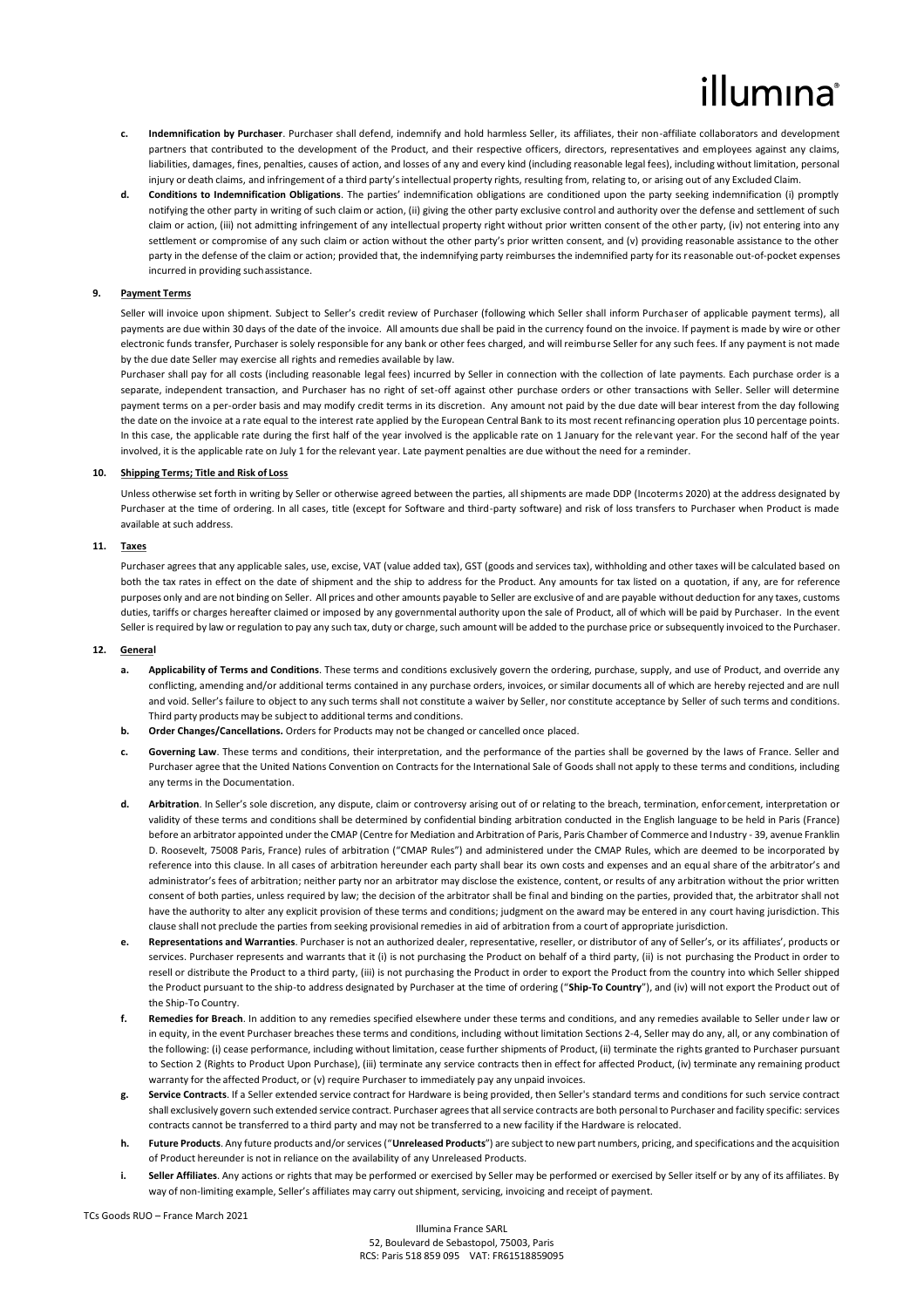# lumına

- **c. Indemnification by Purchaser**. Purchaser shall defend, indemnify and hold harmless Seller, its affiliates, their non-affiliate collaborators and development partners that contributed to the development of the Product, and their respective officers, directors, representatives and employees against any claims, liabilities, damages, fines, penalties, causes of action, and losses of any and every kind (including reasonable legal fees), including without limitation, personal injury or death claims, and infringement of a third party's intellectual property rights, resulting from, relating to, or arising out of any Excluded Claim.
- **d. Conditions to Indemnification Obligations**. The parties' indemnification obligations are conditioned upon the party seeking indemnification (i) promptly notifying the other party in writing of such claim or action, (ii) giving the other party exclusive control and authority over the defense and settlement of such claim or action, (iii) not admitting infringement of any intellectual property right without prior written consent of the other party, (iv) not entering into any settlement or compromise of any such claim or action without the other party's prior written consent, and (v) providing reasonable assistance to the other party in the defense of the claim or action; provided that, the indemnifying party reimburses the indemnified party for its reasonable out-of-pocket expenses incurred in providing suchassistance.

### **9. Payment Terms**

Seller will invoice upon shipment. Subject to Seller's credit review of Purchaser (following which Seller shall inform Purchaser of applicable payment terms), all payments are due within 30 days of the date of the invoice. All amounts due shall be paid in the currency found on the invoice. If payment is made by wire or other electronic funds transfer, Purchaser is solely responsible for any bank or other fees charged, and will reimburse Seller for any such fees. If any payment is not made by the due date Seller may exercise all rights and remedies available by law.

Purchaser shall pay for all costs (including reasonable legal fees) incurred by Seller in connection with the collection of late payments. Each purchase order is a separate, independent transaction, and Purchaser has no right of set-off against other purchase orders or other transactions with Seller. Seller will determine payment terms on a per-order basis and may modify credit terms in its discretion. Any amount not paid by the due date will bear interest from the day following the date on the invoice at a rate equal to the interest rate applied by the European Central Bank to its most recent refinancing operation plus 10 percentage points. In this case, the applicable rate during the first half of the year involved is the applicable rate on 1 January for the relevant year. For the second half of the year involved, it is the applicable rate on July 1 for the relevant year. Late payment penalties are due without the need for a reminder.

#### **10. Shipping Terms; Title and Risk of Loss**

Unless otherwise set forth in writing by Seller or otherwise agreed between the parties, all shipments are made DDP (Incoterms 2020) at the address designated by Purchaser at the time of ordering. In all cases, title (except for Software and third-party software) and risk of loss transfers to Purchaser when Product is made available at such address.

#### **11. Taxes**

Purchaser agrees that any applicable sales, use, excise, VAT (value added tax), GST (goods and services tax), withholding and other taxes will be calculated based on both the tax rates in effect on the date of shipment and the ship to address for the Product. Any amounts for tax listed on a quotation, if any, are for reference purposes only and are not binding on Seller. All prices and other amounts payable to Seller are exclusive of and are payable without deduction for any taxes, customs duties, tariffs or charges hereafter claimed or imposed by any governmental authority upon the sale of Product, all of which will be paid by Purchaser. In the event Seller is required by law or regulation to pay any such tax, duty or charge, such amount will be added to the purchase price or subsequently invoiced to the Purchaser.

### **12. General**

- Applicability of Terms and Conditions. These terms and conditions exclusively govern the ordering, purchase, supply, and use of Product, and override any conflicting, amending and/or additional terms contained in any purchase orders, invoices, or similar documents all of which are hereby rejected and are null and void. Seller's failure to object to any such terms shall not constitute a waiver by Seller, nor constitute acceptance by Seller of such terms and conditions. Third party products may be subject to additional terms and conditions.
- **b. Order Changes/Cancellations.** Orders for Products may not be changed or cancelled once placed.
- **c. Governing Law**. These terms and conditions, their interpretation, and the performance of the parties shall be governed by the laws of France. Seller and Purchaser agree that the United Nations Convention on Contracts for the International Sale of Goods shall not apply to these terms and conditions, including any terms in the Documentation.
- **d. Arbitration**. In Seller's sole discretion, any dispute, claim or controversy arising out of or relating to the breach, termination, enforcement, interpretation or validity of these terms and conditions shall be determined by confidential binding arbitration conducted in the English language to be held in Paris (France) before an arbitrator appointed under the CMAP (Centre for Mediation and Arbitration of Paris, Paris Chamber of Commerce and Industry - 39, avenue Franklin D. Roosevelt, 75008 Paris, France) rules of arbitration ("CMAP Rules") and administered under the CMAP Rules, which are deemed to be incorporated by reference into this clause. In all cases of arbitration hereunder each party shall bear its own costs and expenses and an equal share of the arbitrator's and administrator's fees of arbitration; neither party nor an arbitrator may disclose the existence, content, or results of any arbitration without the prior written consent of both parties, unless required by law; the decision of the arbitrator shall be final and binding on the parties, provided that, the arbitrator shall not have the authority to alter any explicit provision of these terms and conditions; judgment on the award may be entered in any court having jurisdiction. This clause shall not preclude the parties from seeking provisional remedies in aid of arbitration from a court of appropriate jurisdiction.
- **e. Representations and Warranties**. Purchaser is not an authorized dealer, representative, reseller, or distributor of any of Seller's, or its affiliates', products or services. Purchaser represents and warrants that it (i) is not purchasing the Product on behalf of a third party, (ii) is not purchasing the Product in order to resell or distribute the Product to a third party, (iii) is not purchasing the Product in order to export the Product from the country into which Seller shipped the Product pursuant to the ship-to address designated by Purchaser at the time of ordering ("**Ship-To Country**"), and (iv) will not export the Product out of the Ship-To Country.
- **f. Remedies for Breach**. In addition to any remedies specified elsewhere under these terms and conditions, and any remedies available to Seller under law or in equity, in the event Purchaser breaches these terms and conditions, including without limitation Sections 2-4, Seller may do any, all, or any combination of the following: (i) cease performance, including without limitation, cease further shipments of Product, (ii) terminate the rights granted to Purchaser pursuant to Section 2 (Rights to Product Upon Purchase), (iii) terminate any service contracts then in effect for affected Product, (iv) terminate any remaining product warranty for the affected Product, or (v) require Purchaser to immediately pay any unpaid invoices.
- **g. Service Contracts**. If a Seller extended service contract for Hardware is being provided, then Seller's standard terms and conditions for such service contract shall exclusively govern such extended service contract. Purchaser agrees that all service contracts are both personal to Purchaser and facility specific: services contracts cannot be transferred to a third party and may not be transferred to a new facility if the Hardware is relocated.
- **h. Future Products**. Any future products and/or services ("**Unreleased Products**") are subject to new part numbers, pricing, and specifications and the acquisition of Product hereunder is not in reliance on the availability of any Unreleased Products.
- Seller Affiliates. Any actions or rights that may be performed or exercised by Seller may be performed or exercised by Seller itself or by any of its affiliates. By way of non-limiting example, Seller's affiliates may carry outshipment, servicing, invoicing and receipt of payment.

TCs Goods RUO – France March 2021